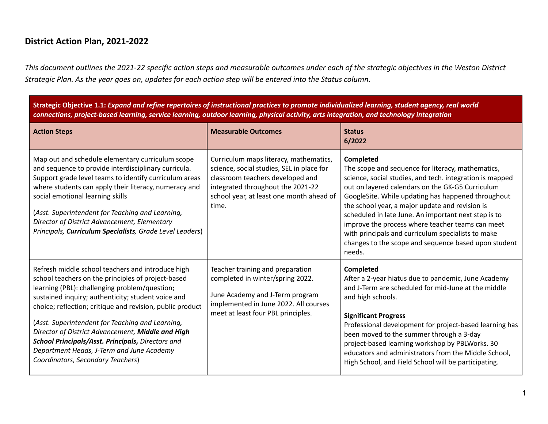## **District Action Plan, 2021-2022**

*This document outlines the 2021-22 specific action steps and measurable outcomes under each of the strategic objectives in the Weston District Strategic Plan. As the year goes on, updates for each action step will be entered into the Status column.*

Strategic Objective 1.1: Expand and refine repertoires of instructional practices to promote individualized learning, student agency, real world connections, project-based learning, service learning, outdoor learning, physical activity, arts integration, and technology integration

| <b>Action Steps</b>                                                                                                                                                                                                                                                                                                                                                                                                                                                                                                         | <b>Measurable Outcomes</b>                                                                                                                                                                                        | <b>Status</b><br>6/2022                                                                                                                                                                                                                                                                                                                                                                                                                                                                                                     |
|-----------------------------------------------------------------------------------------------------------------------------------------------------------------------------------------------------------------------------------------------------------------------------------------------------------------------------------------------------------------------------------------------------------------------------------------------------------------------------------------------------------------------------|-------------------------------------------------------------------------------------------------------------------------------------------------------------------------------------------------------------------|-----------------------------------------------------------------------------------------------------------------------------------------------------------------------------------------------------------------------------------------------------------------------------------------------------------------------------------------------------------------------------------------------------------------------------------------------------------------------------------------------------------------------------|
| Map out and schedule elementary curriculum scope<br>and sequence to provide interdisciplinary curricula.<br>Support grade level teams to identify curriculum areas<br>where students can apply their literacy, numeracy and<br>social emotional learning skills<br>(Asst. Superintendent for Teaching and Learning,<br>Director of District Advancement, Elementary<br>Principals, Curriculum Specialists, Grade Level Leaders)                                                                                             | Curriculum maps literacy, mathematics,<br>science, social studies, SEL in place for<br>classroom teachers developed and<br>integrated throughout the 2021-22<br>school year, at least one month ahead of<br>time. | Completed<br>The scope and sequence for literacy, mathematics,<br>science, social studies, and tech. integration is mapped<br>out on layered calendars on the GK-G5 Curriculum<br>GoogleSite. While updating has happened throughout<br>the school year, a major update and revision is<br>scheduled in late June. An important next step is to<br>improve the process where teacher teams can meet<br>with principals and curriculum specialists to make<br>changes to the scope and sequence based upon student<br>needs. |
| Refresh middle school teachers and introduce high<br>school teachers on the principles of project-based<br>learning (PBL): challenging problem/question;<br>sustained inquiry; authenticity; student voice and<br>choice; reflection; critique and revision, public product<br>(Asst. Superintendent for Teaching and Learning,<br>Director of District Advancement, Middle and High<br>School Principals/Asst. Principals, Directors and<br>Department Heads, J-Term and June Academy<br>Coordinators, Secondary Teachers) | Teacher training and preparation<br>completed in winter/spring 2022.<br>June Academy and J-Term program<br>implemented in June 2022. All courses<br>meet at least four PBL principles.                            | Completed<br>After a 2-year hiatus due to pandemic, June Academy<br>and J-Term are scheduled for mid-June at the middle<br>and high schools.<br><b>Significant Progress</b><br>Professional development for project-based learning has<br>been moved to the summer through a 3-day<br>project-based learning workshop by PBLWorks. 30<br>educators and administrators from the Middle School,<br>High School, and Field School will be participating.                                                                       |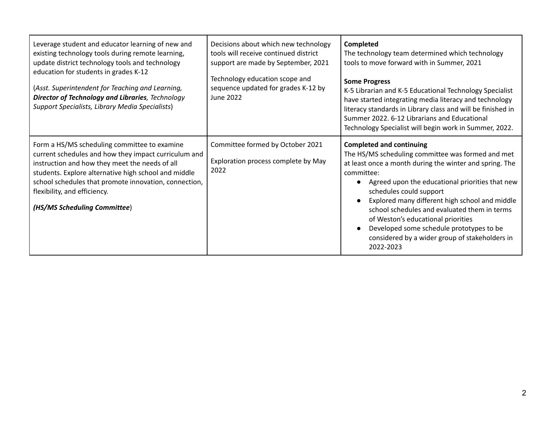| Leverage student and educator learning of new and<br>existing technology tools during remote learning,<br>update district technology tools and technology<br>education for students in grades K-12<br>(Asst. Superintendent for Teaching and Learning,<br><b>Director of Technology and Libraries</b> , Technology<br>Support Specialists, Library Media Specialists) | Decisions about which new technology<br>tools will receive continued district<br>support are made by September, 2021<br>Technology education scope and<br>sequence updated for grades K-12 by<br>June 2022 | Completed<br>The technology team determined which technology<br>tools to move forward with in Summer, 2021<br><b>Some Progress</b><br>K-5 Librarian and K-5 Educational Technology Specialist<br>have started integrating media literacy and technology<br>literacy standards in Library class and will be finished in<br>Summer 2022. 6-12 Librarians and Educational<br>Technology Specialist will begin work in Summer, 2022.                                                               |
|-----------------------------------------------------------------------------------------------------------------------------------------------------------------------------------------------------------------------------------------------------------------------------------------------------------------------------------------------------------------------|------------------------------------------------------------------------------------------------------------------------------------------------------------------------------------------------------------|------------------------------------------------------------------------------------------------------------------------------------------------------------------------------------------------------------------------------------------------------------------------------------------------------------------------------------------------------------------------------------------------------------------------------------------------------------------------------------------------|
| Form a HS/MS scheduling committee to examine<br>current schedules and how they impact curriculum and<br>instruction and how they meet the needs of all<br>students. Explore alternative high school and middle<br>school schedules that promote innovation, connection,<br>flexibility, and efficiency.<br>(HS/MS Scheduling Committee)                               | Committee formed by October 2021<br>Exploration process complete by May<br>2022                                                                                                                            | <b>Completed and continuing</b><br>The HS/MS scheduling committee was formed and met<br>at least once a month during the winter and spring. The<br>committee:<br>Agreed upon the educational priorities that new<br>schedules could support<br>Explored many different high school and middle<br>school schedules and evaluated them in terms<br>of Weston's educational priorities<br>Developed some schedule prototypes to be<br>considered by a wider group of stakeholders in<br>2022-2023 |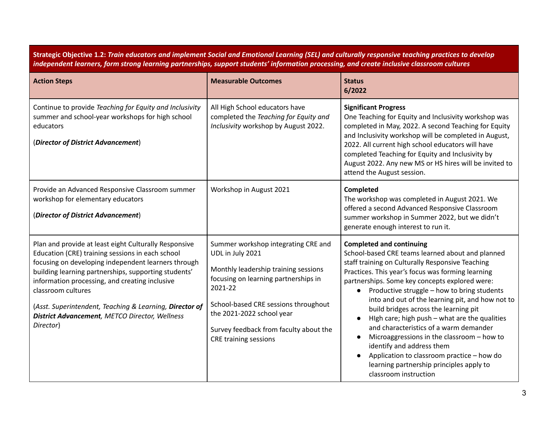Strategic Objective 1.2: Train educators and implement Social and Emotional Learning (SEL) and culturally responsive teaching practices to develop independent learners, form strong learning partnerships, support students' information processing, and create inclusive classroom cultures

| <b>Action Steps</b>                                                                                                                                                                                                                                                                                                                                                                                                                | <b>Measurable Outcomes</b>                                                                                                                                                                                                                                                                        | <b>Status</b><br>6/2022                                                                                                                                                                                                                                                                                                                                                                                                                                                                                                                                                                                                                                                                                       |
|------------------------------------------------------------------------------------------------------------------------------------------------------------------------------------------------------------------------------------------------------------------------------------------------------------------------------------------------------------------------------------------------------------------------------------|---------------------------------------------------------------------------------------------------------------------------------------------------------------------------------------------------------------------------------------------------------------------------------------------------|---------------------------------------------------------------------------------------------------------------------------------------------------------------------------------------------------------------------------------------------------------------------------------------------------------------------------------------------------------------------------------------------------------------------------------------------------------------------------------------------------------------------------------------------------------------------------------------------------------------------------------------------------------------------------------------------------------------|
| Continue to provide Teaching for Equity and Inclusivity<br>summer and school-year workshops for high school<br>educators<br>(Director of District Advancement)                                                                                                                                                                                                                                                                     | All High School educators have<br>completed the Teaching for Equity and<br>Inclusivity workshop by August 2022.                                                                                                                                                                                   | <b>Significant Progress</b><br>One Teaching for Equity and Inclusivity workshop was<br>completed in May, 2022. A second Teaching for Equity<br>and Inclusivity workshop will be completed in August,<br>2022. All current high school educators will have<br>completed Teaching for Equity and Inclusivity by<br>August 2022. Any new MS or HS hires will be invited to<br>attend the August session.                                                                                                                                                                                                                                                                                                         |
| Provide an Advanced Responsive Classroom summer<br>workshop for elementary educators<br>(Director of District Advancement)                                                                                                                                                                                                                                                                                                         | Workshop in August 2021                                                                                                                                                                                                                                                                           | Completed<br>The workshop was completed in August 2021. We<br>offered a second Advanced Responsive Classroom<br>summer workshop in Summer 2022, but we didn't<br>generate enough interest to run it.                                                                                                                                                                                                                                                                                                                                                                                                                                                                                                          |
| Plan and provide at least eight Culturally Responsive<br>Education (CRE) training sessions in each school<br>focusing on developing independent learners through<br>building learning partnerships, supporting students'<br>information processing, and creating inclusive<br>classroom cultures<br>(Asst. Superintendent, Teaching & Learning, Director of<br><b>District Advancement</b> , METCO Director, Wellness<br>Director) | Summer workshop integrating CRE and<br>UDL in July 2021<br>Monthly leadership training sessions<br>focusing on learning partnerships in<br>2021-22<br>School-based CRE sessions throughout<br>the 2021-2022 school year<br>Survey feedback from faculty about the<br><b>CRE training sessions</b> | <b>Completed and continuing</b><br>School-based CRE teams learned about and planned<br>staff training on Culturally Responsive Teaching<br>Practices. This year's focus was forming learning<br>partnerships. Some key concepts explored were:<br>Productive struggle - how to bring students<br>$\bullet$<br>into and out of the learning pit, and how not to<br>build bridges across the learning pit<br>High care; high push - what are the qualities<br>$\bullet$<br>and characteristics of a warm demander<br>Microaggressions in the classroom - how to<br>identify and address them<br>Application to classroom practice - how do<br>learning partnership principles apply to<br>classroom instruction |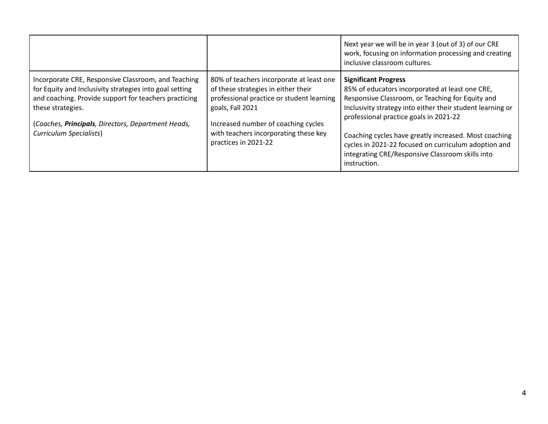|                                                                                                                                                                                                                                                                               |                                                                                                                                                                                                                                                          | Next year we will be in year 3 (out of 3) of our CRE<br>work, focusing on information processing and creating<br>inclusive classroom cultures.                                                                                                                                                                                                                                                                                  |
|-------------------------------------------------------------------------------------------------------------------------------------------------------------------------------------------------------------------------------------------------------------------------------|----------------------------------------------------------------------------------------------------------------------------------------------------------------------------------------------------------------------------------------------------------|---------------------------------------------------------------------------------------------------------------------------------------------------------------------------------------------------------------------------------------------------------------------------------------------------------------------------------------------------------------------------------------------------------------------------------|
| Incorporate CRE, Responsive Classroom, and Teaching<br>for Equity and Inclusivity strategies into goal setting<br>and coaching. Provide support for teachers practicing<br>these strategies.<br>(Coaches, Principals, Directors, Department Heads,<br>Curriculum Specialists) | 80% of teachers incorporate at least one<br>of these strategies in either their<br>professional practice or student learning<br>goals, Fall 2021<br>Increased number of coaching cycles<br>with teachers incorporating these key<br>practices in 2021-22 | <b>Significant Progress</b><br>85% of educators incorporated at least one CRE,<br>Responsive Classroom, or Teaching for Equity and<br>Inclusivity strategy into either their student learning or<br>professional practice goals in 2021-22<br>Coaching cycles have greatly increased. Most coaching<br>cycles in 2021-22 focused on curriculum adoption and<br>integrating CRE/Responsive Classroom skills into<br>instruction. |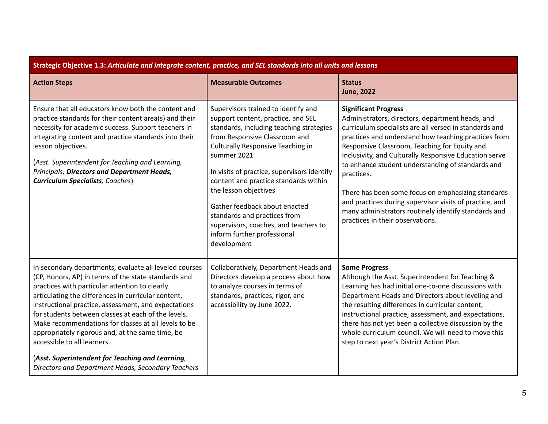| Strategic Objective 1.3: Articulate and integrate content, practice, and SEL standards into all units and lessons                                                                                                                                                                                                                                                                                                                                                                                                                                                                           |                                                                                                                                                                                                                                                                                                                                                                                                                                                                                     |                                                                                                                                                                                                                                                                                                                                                                                                                                                                                                                                                                                              |
|---------------------------------------------------------------------------------------------------------------------------------------------------------------------------------------------------------------------------------------------------------------------------------------------------------------------------------------------------------------------------------------------------------------------------------------------------------------------------------------------------------------------------------------------------------------------------------------------|-------------------------------------------------------------------------------------------------------------------------------------------------------------------------------------------------------------------------------------------------------------------------------------------------------------------------------------------------------------------------------------------------------------------------------------------------------------------------------------|----------------------------------------------------------------------------------------------------------------------------------------------------------------------------------------------------------------------------------------------------------------------------------------------------------------------------------------------------------------------------------------------------------------------------------------------------------------------------------------------------------------------------------------------------------------------------------------------|
| <b>Action Steps</b>                                                                                                                                                                                                                                                                                                                                                                                                                                                                                                                                                                         | <b>Measurable Outcomes</b>                                                                                                                                                                                                                                                                                                                                                                                                                                                          | <b>Status</b><br><b>June, 2022</b>                                                                                                                                                                                                                                                                                                                                                                                                                                                                                                                                                           |
| Ensure that all educators know both the content and<br>practice standards for their content area(s) and their<br>necessity for academic success. Support teachers in<br>integrating content and practice standards into their<br>lesson objectives.<br>(Asst. Superintendent for Teaching and Learning,<br>Principals, Directors and Department Heads,<br><b>Curriculum Specialists, Coaches)</b>                                                                                                                                                                                           | Supervisors trained to identify and<br>support content, practice, and SEL<br>standards, including teaching strategies<br>from Responsive Classroom and<br>Culturally Responsive Teaching in<br>summer 2021<br>In visits of practice, supervisors identify<br>content and practice standards within<br>the lesson objectives<br>Gather feedback about enacted<br>standards and practices from<br>supervisors, coaches, and teachers to<br>inform further professional<br>development | <b>Significant Progress</b><br>Administrators, directors, department heads, and<br>curriculum specialists are all versed in standards and<br>practices and understand how teaching practices from<br>Responsive Classroom, Teaching for Equity and<br>Inclusivity, and Culturally Responsive Education serve<br>to enhance student understanding of standards and<br>practices.<br>There has been some focus on emphasizing standards<br>and practices during supervisor visits of practice, and<br>many administrators routinely identify standards and<br>practices in their observations. |
| In secondary departments, evaluate all leveled courses<br>(CP, Honors, AP) in terms of the state standards and<br>practices with particular attention to clearly<br>articulating the differences in curricular content,<br>instructional practice, assessment, and expectations<br>for students between classes at each of the levels.<br>Make recommendations for classes at all levels to be<br>appropriately rigorous and, at the same time, be<br>accessible to all learners.<br>(Asst. Superintendent for Teaching and Learning,<br>Directors and Department Heads, Secondary Teachers | Collaboratively, Department Heads and<br>Directors develop a process about how<br>to analyze courses in terms of<br>standards, practices, rigor, and<br>accessibility by June 2022.                                                                                                                                                                                                                                                                                                 | <b>Some Progress</b><br>Although the Asst. Superintendent for Teaching &<br>Learning has had initial one-to-one discussions with<br>Department Heads and Directors about leveling and<br>the resulting differences in curricular content,<br>instructional practice, assessment, and expectations,<br>there has not yet been a collective discussion by the<br>whole curriculum council. We will need to move this<br>step to next year's District Action Plan.                                                                                                                              |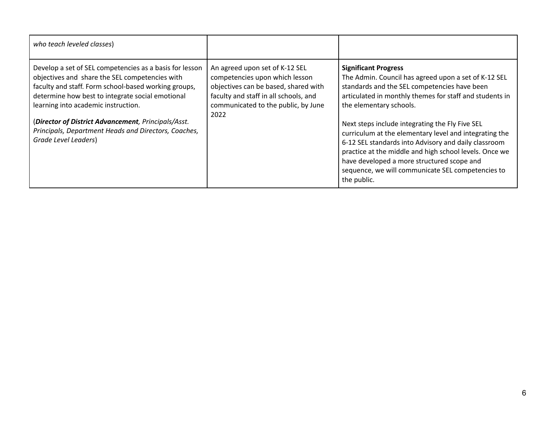| who teach leveled classes)                                                                                                                                                                                                                                                                                                                                                                          |                                                                                                                                                                                                  |                                                                                                                                                                                                                                                                                                                                                                                                                                                                                                                                                                            |
|-----------------------------------------------------------------------------------------------------------------------------------------------------------------------------------------------------------------------------------------------------------------------------------------------------------------------------------------------------------------------------------------------------|--------------------------------------------------------------------------------------------------------------------------------------------------------------------------------------------------|----------------------------------------------------------------------------------------------------------------------------------------------------------------------------------------------------------------------------------------------------------------------------------------------------------------------------------------------------------------------------------------------------------------------------------------------------------------------------------------------------------------------------------------------------------------------------|
| Develop a set of SEL competencies as a basis for lesson<br>objectives and share the SEL competencies with<br>faculty and staff. Form school-based working groups,<br>determine how best to integrate social emotional<br>learning into academic instruction.<br>(Director of District Advancement, Principals/Asst.<br>Principals, Department Heads and Directors, Coaches,<br>Grade Level Leaders) | An agreed upon set of K-12 SEL<br>competencies upon which lesson<br>objectives can be based, shared with<br>faculty and staff in all schools, and<br>communicated to the public, by June<br>2022 | <b>Significant Progress</b><br>The Admin. Council has agreed upon a set of K-12 SEL<br>standards and the SEL competencies have been<br>articulated in monthly themes for staff and students in<br>the elementary schools.<br>Next steps include integrating the Fly Five SEL<br>curriculum at the elementary level and integrating the<br>6-12 SEL standards into Advisory and daily classroom<br>practice at the middle and high school levels. Once we<br>have developed a more structured scope and<br>sequence, we will communicate SEL competencies to<br>the public. |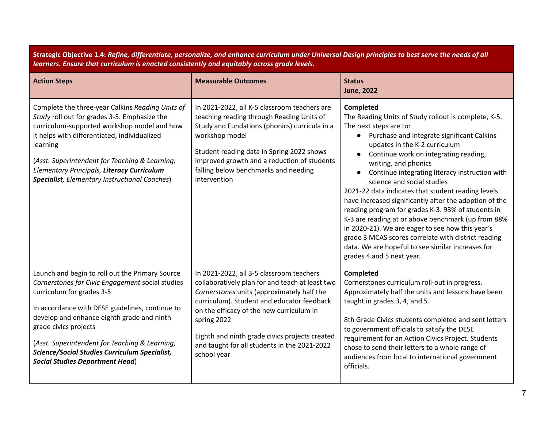| Strategic Objective 1.4: Refine, differentiate, personalize, and enhance curriculum under Universal Design principles to best serve the needs of all<br>learners. Ensure that curriculum is enacted consistently and equitably across grade levels.                                                                                                                                                            |                                                                                                                                                                                                                                                                                                                                                                     |                                                                                                                                                                                                                                                                                                                                                                                                                                                                                                                                                                                                                                                                                                                                                        |
|----------------------------------------------------------------------------------------------------------------------------------------------------------------------------------------------------------------------------------------------------------------------------------------------------------------------------------------------------------------------------------------------------------------|---------------------------------------------------------------------------------------------------------------------------------------------------------------------------------------------------------------------------------------------------------------------------------------------------------------------------------------------------------------------|--------------------------------------------------------------------------------------------------------------------------------------------------------------------------------------------------------------------------------------------------------------------------------------------------------------------------------------------------------------------------------------------------------------------------------------------------------------------------------------------------------------------------------------------------------------------------------------------------------------------------------------------------------------------------------------------------------------------------------------------------------|
| <b>Action Steps</b>                                                                                                                                                                                                                                                                                                                                                                                            | <b>Measurable Outcomes</b>                                                                                                                                                                                                                                                                                                                                          | <b>Status</b><br><b>June, 2022</b>                                                                                                                                                                                                                                                                                                                                                                                                                                                                                                                                                                                                                                                                                                                     |
| Complete the three-year Calkins Reading Units of<br>Study roll out for grades 3-5. Emphasize the<br>curriculum-supported workshop model and how<br>it helps with differentiated, individualized<br>learning<br>(Asst. Superintendent for Teaching & Learning,<br>Elementary Principals, Literacy Curriculum<br><b>Specialist</b> , Elementary Instructional Coaches)                                           | In 2021-2022, all K-5 classroom teachers are<br>teaching reading through Reading Units of<br>Study and Fundations (phonics) curricula in a<br>workshop model<br>Student reading data in Spring 2022 shows<br>improved growth and a reduction of students<br>falling below benchmarks and needing<br>intervention                                                    | Completed<br>The Reading Units of Study rollout is complete, K-5.<br>The next steps are to:<br>• Purchase and integrate significant Calkins<br>updates in the K-2 curriculum<br>Continue work on integrating reading,<br>writing, and phonics<br>Continue integrating literacy instruction with<br>science and social studies<br>2021-22 data indicates that student reading levels<br>have increased significantly after the adoption of the<br>reading program for grades K-3. 93% of students in<br>K-3 are reading at or above benchmark (up from 88%<br>in 2020-21). We are eager to see how this year's<br>grade 3 MCAS scores correlate with district reading<br>data. We are hopeful to see similar increases for<br>grades 4 and 5 next year. |
| Launch and begin to roll out the Primary Source<br>Cornerstones for Civic Engagement social studies<br>curriculum for grades 3-5<br>In accordance with DESE guidelines, continue to<br>develop and enhance eighth grade and ninth<br>grade civics projects<br>(Asst. Superintendent for Teaching & Learning,<br><b>Science/Social Studies Curriculum Specialist,</b><br><b>Social Studies Department Head)</b> | In 2021-2022, all 3-5 classroom teachers<br>collaboratively plan for and teach at least two<br>Cornerstones units (approximately half the<br>curriculum). Student and educator feedback<br>on the efficacy of the new curriculum in<br>spring 2022<br>Eighth and ninth grade civics projects created<br>and taught for all students in the 2021-2022<br>school year | Completed<br>Cornerstones curriculum roll-out in progress.<br>Approximately half the units and lessons have been<br>taught in grades 3, 4, and 5.<br>8th Grade Civics students completed and sent letters<br>to government officials to satisfy the DESE<br>requirement for an Action Civics Project. Students<br>chose to send their letters to a whole range of<br>audiences from local to international government<br>officials.                                                                                                                                                                                                                                                                                                                    |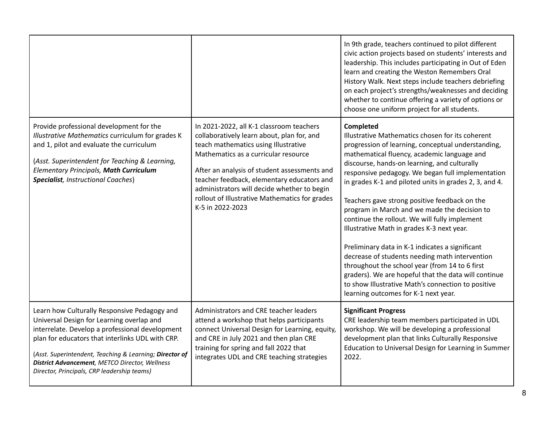|                                                                                                                                                                                                                                                                                                                                                                      |                                                                                                                                                                                                                                                                                                                                                                                           | In 9th grade, teachers continued to pilot different<br>civic action projects based on students' interests and<br>leadership. This includes participating in Out of Eden<br>learn and creating the Weston Remembers Oral<br>History Walk. Next steps include teachers debriefing<br>on each project's strengths/weaknesses and deciding<br>whether to continue offering a variety of options or<br>choose one uniform project for all students.                                                                                                                                                                                                                                                                                                                                                                                                        |
|----------------------------------------------------------------------------------------------------------------------------------------------------------------------------------------------------------------------------------------------------------------------------------------------------------------------------------------------------------------------|-------------------------------------------------------------------------------------------------------------------------------------------------------------------------------------------------------------------------------------------------------------------------------------------------------------------------------------------------------------------------------------------|-------------------------------------------------------------------------------------------------------------------------------------------------------------------------------------------------------------------------------------------------------------------------------------------------------------------------------------------------------------------------------------------------------------------------------------------------------------------------------------------------------------------------------------------------------------------------------------------------------------------------------------------------------------------------------------------------------------------------------------------------------------------------------------------------------------------------------------------------------|
| Provide professional development for the<br>Illustrative Mathematics curriculum for grades K<br>and 1, pilot and evaluate the curriculum<br>(Asst. Superintendent for Teaching & Learning,<br>Elementary Principals, Math Curriculum<br><b>Specialist</b> , Instructional Coaches)                                                                                   | In 2021-2022, all K-1 classroom teachers<br>collaboratively learn about, plan for, and<br>teach mathematics using Illustrative<br>Mathematics as a curricular resource<br>After an analysis of student assessments and<br>teacher feedback, elementary educators and<br>administrators will decide whether to begin<br>rollout of Illustrative Mathematics for grades<br>K-5 in 2022-2023 | <b>Completed</b><br>Illustrative Mathematics chosen for its coherent<br>progression of learning, conceptual understanding,<br>mathematical fluency, academic language and<br>discourse, hands-on learning, and culturally<br>responsive pedagogy. We began full implementation<br>in grades K-1 and piloted units in grades 2, 3, and 4.<br>Teachers gave strong positive feedback on the<br>program in March and we made the decision to<br>continue the rollout. We will fully implement<br>Illustrative Math in grades K-3 next year.<br>Preliminary data in K-1 indicates a significant<br>decrease of students needing math intervention<br>throughout the school year (from 14 to 6 first<br>graders). We are hopeful that the data will continue<br>to show Illustrative Math's connection to positive<br>learning outcomes for K-1 next year. |
| Learn how Culturally Responsive Pedagogy and<br>Universal Design for Learning overlap and<br>interrelate. Develop a professional development<br>plan for educators that interlinks UDL with CRP.<br>(Asst. Superintendent, Teaching & Learning; Director of<br><b>District Advancement</b> , METCO Director, Wellness<br>Director, Principals, CRP leadership teams) | Administrators and CRE teacher leaders<br>attend a workshop that helps participants<br>connect Universal Design for Learning, equity,<br>and CRE in July 2021 and then plan CRE<br>training for spring and fall 2022 that<br>integrates UDL and CRE teaching strategies                                                                                                                   | <b>Significant Progress</b><br>CRE leadership team members participated in UDL<br>workshop. We will be developing a professional<br>development plan that links Culturally Responsive<br>Education to Universal Design for Learning in Summer<br>2022.                                                                                                                                                                                                                                                                                                                                                                                                                                                                                                                                                                                                |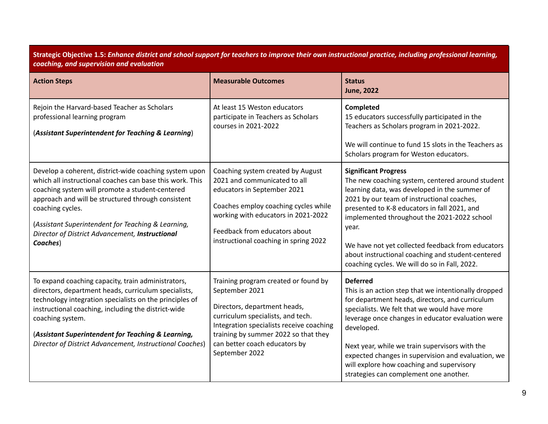| Strategic Objective 1.5: Enhance district and school support for teachers to improve their own instructional practice, including professional learning, |  |
|---------------------------------------------------------------------------------------------------------------------------------------------------------|--|
| coaching, and supervision and evaluation                                                                                                                |  |

| <b>Action Steps</b>                                                                                                                                                                                                                                                                                                                                                  | <b>Measurable Outcomes</b>                                                                                                                                                                                                                                         | <b>Status</b><br><b>June, 2022</b>                                                                                                                                                                                                                                                                                                                                                                                                                |
|----------------------------------------------------------------------------------------------------------------------------------------------------------------------------------------------------------------------------------------------------------------------------------------------------------------------------------------------------------------------|--------------------------------------------------------------------------------------------------------------------------------------------------------------------------------------------------------------------------------------------------------------------|---------------------------------------------------------------------------------------------------------------------------------------------------------------------------------------------------------------------------------------------------------------------------------------------------------------------------------------------------------------------------------------------------------------------------------------------------|
| Rejoin the Harvard-based Teacher as Scholars<br>professional learning program<br>(Assistant Superintendent for Teaching & Learning)                                                                                                                                                                                                                                  | At least 15 Weston educators<br>participate in Teachers as Scholars<br>courses in 2021-2022                                                                                                                                                                        | Completed<br>15 educators successfully participated in the<br>Teachers as Scholars program in 2021-2022.<br>We will continue to fund 15 slots in the Teachers as<br>Scholars program for Weston educators.                                                                                                                                                                                                                                        |
| Develop a coherent, district-wide coaching system upon<br>which all instructional coaches can base this work. This<br>coaching system will promote a student-centered<br>approach and will be structured through consistent<br>coaching cycles.<br>(Assistant Superintendent for Teaching & Learning,<br>Director of District Advancement, Instructional<br>Coaches) | Coaching system created by August<br>2021 and communicated to all<br>educators in September 2021<br>Coaches employ coaching cycles while<br>working with educators in 2021-2022<br>Feedback from educators about<br>instructional coaching in spring 2022          | <b>Significant Progress</b><br>The new coaching system, centered around student<br>learning data, was developed in the summer of<br>2021 by our team of instructional coaches,<br>presented to K-8 educators in fall 2021, and<br>implemented throughout the 2021-2022 school<br>year.<br>We have not yet collected feedback from educators<br>about instructional coaching and student-centered<br>coaching cycles. We will do so in Fall, 2022. |
| To expand coaching capacity, train administrators,<br>directors, department heads, curriculum specialists,<br>technology integration specialists on the principles of<br>instructional coaching, including the district-wide<br>coaching system.<br>(Assistant Superintendent for Teaching & Learning,<br>Director of District Advancement, Instructional Coaches)   | Training program created or found by<br>September 2021<br>Directors, department heads,<br>curriculum specialists, and tech.<br>Integration specialists receive coaching<br>training by summer 2022 so that they<br>can better coach educators by<br>September 2022 | <b>Deferred</b><br>This is an action step that we intentionally dropped<br>for department heads, directors, and curriculum<br>specialists. We felt that we would have more<br>leverage once changes in educator evaluation were<br>developed.<br>Next year, while we train supervisors with the<br>expected changes in supervision and evaluation, we<br>will explore how coaching and supervisory<br>strategies can complement one another.      |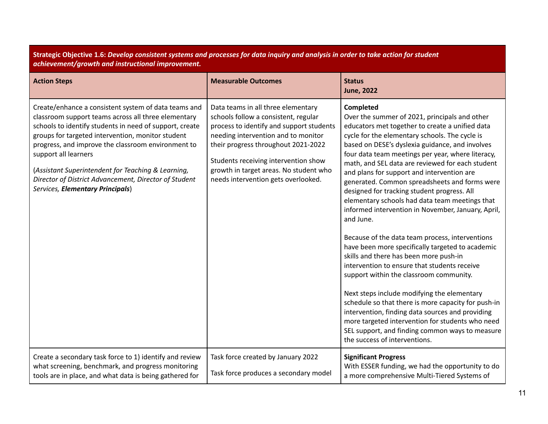Strategic Objective 1.6: Develop consistent systems and processes for data inquiry and analysis in order to take action for student *achievement/growth and instructional improvement.*

| <b>Action Steps</b>                                                                                                                                                                                                                                                                                                                                                                                                                                          | <b>Measurable Outcomes</b>                                                                                                                                                                                                                                                                                                    | <b>Status</b><br><b>June, 2022</b>                                                                                                                                                                                                                                                                                                                                                                                                                                                                                                                                                                                                                                                                                                                                                                                                                                                                                                                                                                                                                                                                                                           |
|--------------------------------------------------------------------------------------------------------------------------------------------------------------------------------------------------------------------------------------------------------------------------------------------------------------------------------------------------------------------------------------------------------------------------------------------------------------|-------------------------------------------------------------------------------------------------------------------------------------------------------------------------------------------------------------------------------------------------------------------------------------------------------------------------------|----------------------------------------------------------------------------------------------------------------------------------------------------------------------------------------------------------------------------------------------------------------------------------------------------------------------------------------------------------------------------------------------------------------------------------------------------------------------------------------------------------------------------------------------------------------------------------------------------------------------------------------------------------------------------------------------------------------------------------------------------------------------------------------------------------------------------------------------------------------------------------------------------------------------------------------------------------------------------------------------------------------------------------------------------------------------------------------------------------------------------------------------|
| Create/enhance a consistent system of data teams and<br>classroom support teams across all three elementary<br>schools to identify students in need of support, create<br>groups for targeted intervention, monitor student<br>progress, and improve the classroom environment to<br>support all learners<br>(Assistant Superintendent for Teaching & Learning,<br>Director of District Advancement, Director of Student<br>Services, Elementary Principals) | Data teams in all three elementary<br>schools follow a consistent, regular<br>process to identify and support students<br>needing intervention and to monitor<br>their progress throughout 2021-2022<br>Students receiving intervention show<br>growth in target areas. No student who<br>needs intervention gets overlooked. | Completed<br>Over the summer of 2021, principals and other<br>educators met together to create a unified data<br>cycle for the elementary schools. The cycle is<br>based on DESE's dyslexia guidance, and involves<br>four data team meetings per year, where literacy,<br>math, and SEL data are reviewed for each student<br>and plans for support and intervention are<br>generated. Common spreadsheets and forms were<br>designed for tracking student progress. All<br>elementary schools had data team meetings that<br>informed intervention in November, January, April,<br>and June.<br>Because of the data team process, interventions<br>have been more specifically targeted to academic<br>skills and there has been more push-in<br>intervention to ensure that students receive<br>support within the classroom community.<br>Next steps include modifying the elementary<br>schedule so that there is more capacity for push-in<br>intervention, finding data sources and providing<br>more targeted intervention for students who need<br>SEL support, and finding common ways to measure<br>the success of interventions. |
| Create a secondary task force to 1) identify and review<br>what screening, benchmark, and progress monitoring<br>tools are in place, and what data is being gathered for                                                                                                                                                                                                                                                                                     | Task force created by January 2022<br>Task force produces a secondary model                                                                                                                                                                                                                                                   | <b>Significant Progress</b><br>With ESSER funding, we had the opportunity to do<br>a more comprehensive Multi-Tiered Systems of                                                                                                                                                                                                                                                                                                                                                                                                                                                                                                                                                                                                                                                                                                                                                                                                                                                                                                                                                                                                              |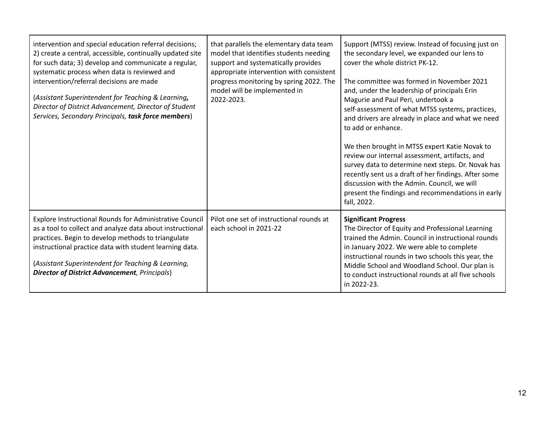| intervention and special education referral decisions;<br>2) create a central, accessible, continually updated site<br>for such data; 3) develop and communicate a regular,<br>systematic process when data is reviewed and<br>intervention/referral decisions are made<br>(Assistant Superintendent for Teaching & Learning,<br>Director of District Advancement, Director of Student<br>Services, Secondary Principals, task force members) | that parallels the elementary data team<br>model that identifies students needing<br>support and systematically provides<br>appropriate intervention with consistent<br>progress monitoring by spring 2022. The<br>model will be implemented in<br>2022-2023. | Support (MTSS) review. Instead of focusing just on<br>the secondary level, we expanded our lens to<br>cover the whole district PK-12.<br>The committee was formed in November 2021<br>and, under the leadership of principals Erin<br>Magurie and Paul Peri, undertook a<br>self-assessment of what MTSS systems, practices,<br>and drivers are already in place and what we need<br>to add or enhance.<br>We then brought in MTSS expert Katie Novak to<br>review our internal assessment, artifacts, and<br>survey data to determine next steps. Dr. Novak has<br>recently sent us a draft of her findings. After some<br>discussion with the Admin. Council, we will<br>present the findings and recommendations in early<br>fall, 2022. |
|-----------------------------------------------------------------------------------------------------------------------------------------------------------------------------------------------------------------------------------------------------------------------------------------------------------------------------------------------------------------------------------------------------------------------------------------------|---------------------------------------------------------------------------------------------------------------------------------------------------------------------------------------------------------------------------------------------------------------|---------------------------------------------------------------------------------------------------------------------------------------------------------------------------------------------------------------------------------------------------------------------------------------------------------------------------------------------------------------------------------------------------------------------------------------------------------------------------------------------------------------------------------------------------------------------------------------------------------------------------------------------------------------------------------------------------------------------------------------------|
| Explore Instructional Rounds for Administrative Council<br>as a tool to collect and analyze data about instructional<br>practices. Begin to develop methods to triangulate<br>instructional practice data with student learning data.<br>(Assistant Superintendent for Teaching & Learning,<br><b>Director of District Advancement</b> , Principals)                                                                                          | Pilot one set of instructional rounds at<br>each school in 2021-22                                                                                                                                                                                            | <b>Significant Progress</b><br>The Director of Equity and Professional Learning<br>trained the Admin. Council in instructional rounds<br>in January 2022. We were able to complete<br>instructional rounds in two schools this year, the<br>Middle School and Woodland School. Our plan is<br>to conduct instructional rounds at all five schools<br>in 2022-23.                                                                                                                                                                                                                                                                                                                                                                            |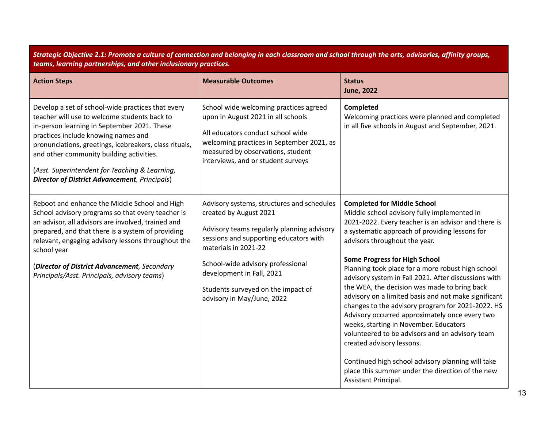Strategic Objective 2.1: Promote a culture of connection and belonging in each classroom and school through the arts, advisories, affinity groups, *teams, learning partnerships, and other inclusionary practices.*

| <b>Action Steps</b>                                                                                                                                                                                                                                                                                                                                                                                      | <b>Measurable Outcomes</b>                                                                                                                                                                                                                                                                                                 | <b>Status</b><br><b>June, 2022</b>                                                                                                                                                                                                                                                                                                                                                                                                                                                                                                                                                                                                                                                                                                                                                                                                                         |
|----------------------------------------------------------------------------------------------------------------------------------------------------------------------------------------------------------------------------------------------------------------------------------------------------------------------------------------------------------------------------------------------------------|----------------------------------------------------------------------------------------------------------------------------------------------------------------------------------------------------------------------------------------------------------------------------------------------------------------------------|------------------------------------------------------------------------------------------------------------------------------------------------------------------------------------------------------------------------------------------------------------------------------------------------------------------------------------------------------------------------------------------------------------------------------------------------------------------------------------------------------------------------------------------------------------------------------------------------------------------------------------------------------------------------------------------------------------------------------------------------------------------------------------------------------------------------------------------------------------|
| Develop a set of school-wide practices that every<br>teacher will use to welcome students back to<br>in-person learning in September 2021. These<br>practices include knowing names and<br>pronunciations, greetings, icebreakers, class rituals,<br>and other community building activities.<br>(Asst. Superintendent for Teaching & Learning,<br><b>Director of District Advancement</b> , Principals) | School wide welcoming practices agreed<br>upon in August 2021 in all schools<br>All educators conduct school wide<br>welcoming practices in September 2021, as<br>measured by observations, student<br>interviews, and or student surveys                                                                                  | Completed<br>Welcoming practices were planned and completed<br>in all five schools in August and September, 2021.                                                                                                                                                                                                                                                                                                                                                                                                                                                                                                                                                                                                                                                                                                                                          |
| Reboot and enhance the Middle School and High<br>School advisory programs so that every teacher is<br>an advisor, all advisors are involved, trained and<br>prepared, and that there is a system of providing<br>relevant, engaging advisory lessons throughout the<br>school year<br>(Director of District Advancement, Secondary<br>Principals/Asst. Principals, advisory teams)                       | Advisory systems, structures and schedules<br>created by August 2021<br>Advisory teams regularly planning advisory<br>sessions and supporting educators with<br>materials in 2021-22<br>School-wide advisory professional<br>development in Fall, 2021<br>Students surveyed on the impact of<br>advisory in May/June, 2022 | <b>Completed for Middle School</b><br>Middle school advisory fully implemented in<br>2021-2022. Every teacher is an advisor and there is<br>a systematic approach of providing lessons for<br>advisors throughout the year.<br><b>Some Progress for High School</b><br>Planning took place for a more robust high school<br>advisory system in Fall 2021. After discussions with<br>the WEA, the decision was made to bring back<br>advisory on a limited basis and not make significant<br>changes to the advisory program for 2021-2022. HS<br>Advisory occurred approximately once every two<br>weeks, starting in November. Educators<br>volunteered to be advisors and an advisory team<br>created advisory lessons.<br>Continued high school advisory planning will take<br>place this summer under the direction of the new<br>Assistant Principal. |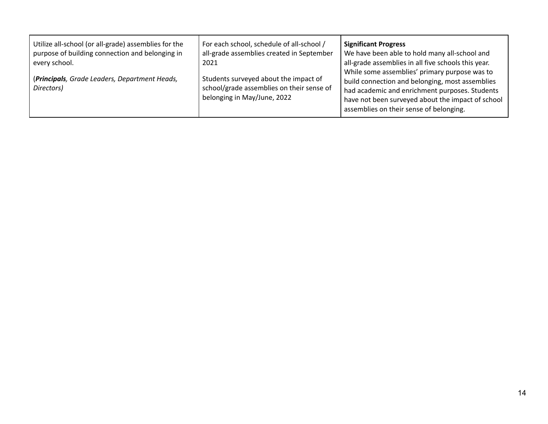| Utilize all-school (or all-grade) assemblies for the        | For each school, schedule of all-school /                                                                         | <b>Significant Progress</b>                                                                                                                                                                                                                        |
|-------------------------------------------------------------|-------------------------------------------------------------------------------------------------------------------|----------------------------------------------------------------------------------------------------------------------------------------------------------------------------------------------------------------------------------------------------|
| purpose of building connection and belonging in             | all-grade assemblies created in September                                                                         | We have been able to hold many all-school and                                                                                                                                                                                                      |
| every school.                                               | 2021                                                                                                              | all-grade assemblies in all five schools this year.                                                                                                                                                                                                |
| (Principals, Grade Leaders, Department Heads,<br>Directors) | Students surveyed about the impact of<br>school/grade assemblies on their sense of<br>belonging in May/June, 2022 | While some assemblies' primary purpose was to<br>build connection and belonging, most assemblies<br>had academic and enrichment purposes. Students<br>have not been surveyed about the impact of school<br>assemblies on their sense of belonging. |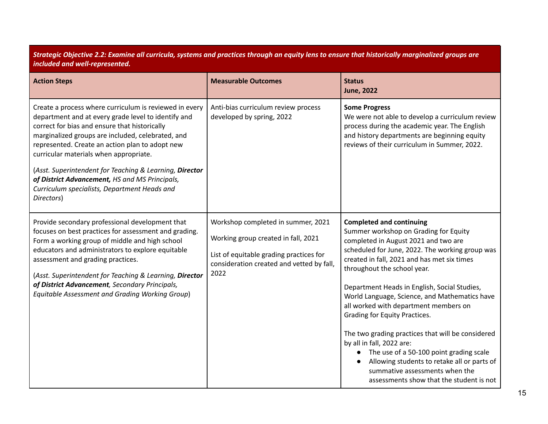Strategic Objective 2.2: Examine all curricula, systems and practices through an equity lens to ensure that historically marginalized groups are *included and well-represented.*

| <b>Action Steps</b>                                                                                                                                                                                                                                                                                                                                                                                                                                                                         | <b>Measurable Outcomes</b>                                                                                                                                                | <b>Status</b><br><b>June, 2022</b>                                                                                                                                                                                                                                                                                                                                                                                                                                                                                                                                                                                                                                                     |
|---------------------------------------------------------------------------------------------------------------------------------------------------------------------------------------------------------------------------------------------------------------------------------------------------------------------------------------------------------------------------------------------------------------------------------------------------------------------------------------------|---------------------------------------------------------------------------------------------------------------------------------------------------------------------------|----------------------------------------------------------------------------------------------------------------------------------------------------------------------------------------------------------------------------------------------------------------------------------------------------------------------------------------------------------------------------------------------------------------------------------------------------------------------------------------------------------------------------------------------------------------------------------------------------------------------------------------------------------------------------------------|
| Create a process where curriculum is reviewed in every<br>department and at every grade level to identify and<br>correct for bias and ensure that historically<br>marginalized groups are included, celebrated, and<br>represented. Create an action plan to adopt new<br>curricular materials when appropriate.<br>(Asst. Superintendent for Teaching & Learning, Director<br>of District Advancement, HS and MS Principals,<br>Curriculum specialists, Department Heads and<br>Directors) | Anti-bias curriculum review process<br>developed by spring, 2022                                                                                                          | <b>Some Progress</b><br>We were not able to develop a curriculum review<br>process during the academic year. The English<br>and history departments are beginning equity<br>reviews of their curriculum in Summer, 2022.                                                                                                                                                                                                                                                                                                                                                                                                                                                               |
| Provide secondary professional development that<br>focuses on best practices for assessment and grading.<br>Form a working group of middle and high school<br>educators and administrators to explore equitable<br>assessment and grading practices.<br>(Asst. Superintendent for Teaching & Learning, Director<br>of District Advancement, Secondary Principals,<br><b>Equitable Assessment and Grading Working Group)</b>                                                                 | Workshop completed in summer, 2021<br>Working group created in fall, 2021<br>List of equitable grading practices for<br>consideration created and vetted by fall,<br>2022 | <b>Completed and continuing</b><br>Summer workshop on Grading for Equity<br>completed in August 2021 and two are<br>scheduled for June, 2022. The working group was<br>created in fall, 2021 and has met six times<br>throughout the school year.<br>Department Heads in English, Social Studies,<br>World Language, Science, and Mathematics have<br>all worked with department members on<br>Grading for Equity Practices.<br>The two grading practices that will be considered<br>by all in fall, 2022 are:<br>The use of a 50-100 point grading scale<br>Allowing students to retake all or parts of<br>summative assessments when the<br>assessments show that the student is not |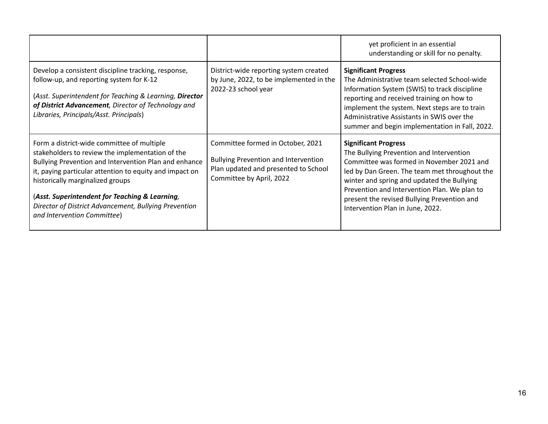|                                                                                                                                                                                                                                                                                                                                                                                                  |                                                                                                                                                      | yet proficient in an essential<br>understanding or skill for no penalty.                                                                                                                                                                                                                                                                               |
|--------------------------------------------------------------------------------------------------------------------------------------------------------------------------------------------------------------------------------------------------------------------------------------------------------------------------------------------------------------------------------------------------|------------------------------------------------------------------------------------------------------------------------------------------------------|--------------------------------------------------------------------------------------------------------------------------------------------------------------------------------------------------------------------------------------------------------------------------------------------------------------------------------------------------------|
| Develop a consistent discipline tracking, response,<br>follow-up, and reporting system for K-12<br>(Asst. Superintendent for Teaching & Learning, Director<br>of District Advancement, Director of Technology and<br>Libraries, Principals/Asst. Principals)                                                                                                                                     | District-wide reporting system created<br>by June, 2022, to be implemented in the<br>2022-23 school year                                             | <b>Significant Progress</b><br>The Administrative team selected School-wide<br>Information System (SWIS) to track discipline<br>reporting and received training on how to<br>implement the system. Next steps are to train<br>Administrative Assistants in SWIS over the<br>summer and begin implementation in Fall, 2022.                             |
| Form a district-wide committee of multiple<br>stakeholders to review the implementation of the<br>Bullying Prevention and Intervention Plan and enhance<br>it, paying particular attention to equity and impact on<br>historically marginalized groups<br>(Asst. Superintendent for Teaching & Learning,<br>Director of District Advancement, Bullying Prevention<br>and Intervention Committee) | Committee formed in October, 2021<br><b>Bullying Prevention and Intervention</b><br>Plan updated and presented to School<br>Committee by April, 2022 | <b>Significant Progress</b><br>The Bullying Prevention and Intervention<br>Committee was formed in November 2021 and<br>led by Dan Green. The team met throughout the<br>winter and spring and updated the Bullying<br>Prevention and Intervention Plan. We plan to<br>present the revised Bullying Prevention and<br>Intervention Plan in June, 2022. |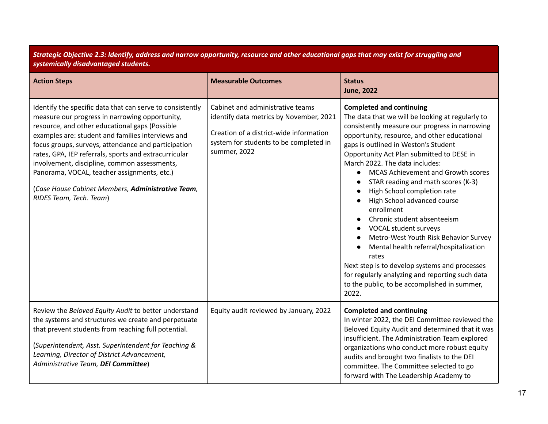| Strategic Objective 2.3: Identify, address and narrow opportunity, resource and other educational gaps that may exist for struggling and<br>systemically disadvantaged students.                                                                                                                                                                                                                                                                                                                                  |                                                                                                                                                                                  |                                                                                                                                                                                                                                                                                                                                                                                                                                                                                                                                                                                                                                                                                                                                                                                                                                                                     |
|-------------------------------------------------------------------------------------------------------------------------------------------------------------------------------------------------------------------------------------------------------------------------------------------------------------------------------------------------------------------------------------------------------------------------------------------------------------------------------------------------------------------|----------------------------------------------------------------------------------------------------------------------------------------------------------------------------------|---------------------------------------------------------------------------------------------------------------------------------------------------------------------------------------------------------------------------------------------------------------------------------------------------------------------------------------------------------------------------------------------------------------------------------------------------------------------------------------------------------------------------------------------------------------------------------------------------------------------------------------------------------------------------------------------------------------------------------------------------------------------------------------------------------------------------------------------------------------------|
| <b>Action Steps</b>                                                                                                                                                                                                                                                                                                                                                                                                                                                                                               | <b>Measurable Outcomes</b>                                                                                                                                                       | <b>Status</b><br><b>June, 2022</b>                                                                                                                                                                                                                                                                                                                                                                                                                                                                                                                                                                                                                                                                                                                                                                                                                                  |
| Identify the specific data that can serve to consistently<br>measure our progress in narrowing opportunity,<br>resource, and other educational gaps (Possible<br>examples are: student and families interviews and<br>focus groups, surveys, attendance and participation<br>rates, GPA, IEP referrals, sports and extracurricular<br>involvement, discipline, common assessments,<br>Panorama, VOCAL, teacher assignments, etc.)<br>(Case House Cabinet Members, Administrative Team,<br>RIDES Team, Tech. Team) | Cabinet and administrative teams<br>identify data metrics by November, 2021<br>Creation of a district-wide information<br>system for students to be completed in<br>summer, 2022 | <b>Completed and continuing</b><br>The data that we will be looking at regularly to<br>consistently measure our progress in narrowing<br>opportunity, resource, and other educational<br>gaps is outlined in Weston's Student<br>Opportunity Act Plan submitted to DESE in<br>March 2022. The data includes:<br>MCAS Achievement and Growth scores<br>$\bullet$<br>STAR reading and math scores (K-3)<br>$\bullet$<br>High School completion rate<br>$\bullet$<br>High School advanced course<br>$\bullet$<br>enrollment<br>Chronic student absenteeism<br>VOCAL student surveys<br>$\bullet$<br>Metro-West Youth Risk Behavior Survey<br>$\bullet$<br>Mental health referral/hospitalization<br>rates<br>Next step is to develop systems and processes<br>for regularly analyzing and reporting such data<br>to the public, to be accomplished in summer,<br>2022. |
| Review the Beloved Equity Audit to better understand<br>the systems and structures we create and perpetuate<br>that prevent students from reaching full potential.<br>(Superintendent, Asst. Superintendent for Teaching &<br>Learning, Director of District Advancement,<br>Administrative Team, DEI Committee)                                                                                                                                                                                                  | Equity audit reviewed by January, 2022                                                                                                                                           | <b>Completed and continuing</b><br>In winter 2022, the DEI Committee reviewed the<br>Beloved Equity Audit and determined that it was<br>insufficient. The Administration Team explored<br>organizations who conduct more robust equity<br>audits and brought two finalists to the DEI<br>committee. The Committee selected to go<br>forward with The Leadership Academy to                                                                                                                                                                                                                                                                                                                                                                                                                                                                                          |

Strategic Objective 2.3: Identify, address and narrow opportunity, resource and other educational gaps that may exist for struggling and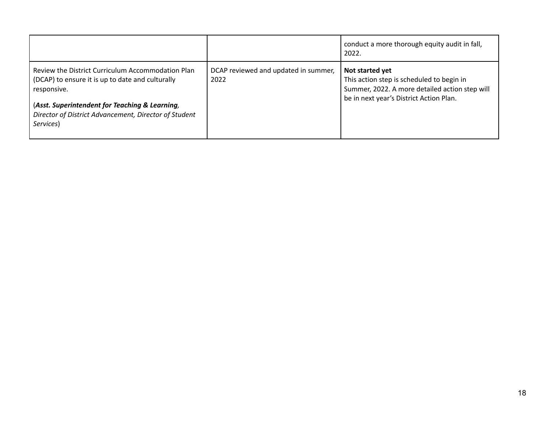|                                                                                                                                                                                                                                              |                                              | conduct a more thorough equity audit in fall,<br>2022.                                                                                                    |
|----------------------------------------------------------------------------------------------------------------------------------------------------------------------------------------------------------------------------------------------|----------------------------------------------|-----------------------------------------------------------------------------------------------------------------------------------------------------------|
| Review the District Curriculum Accommodation Plan<br>(DCAP) to ensure it is up to date and culturally<br>responsive.<br>(Asst. Superintendent for Teaching & Learning,<br>Director of District Advancement, Director of Student<br>Services) | DCAP reviewed and updated in summer,<br>2022 | Not started yet<br>This action step is scheduled to begin in<br>Summer, 2022. A more detailed action step will<br>be in next year's District Action Plan. |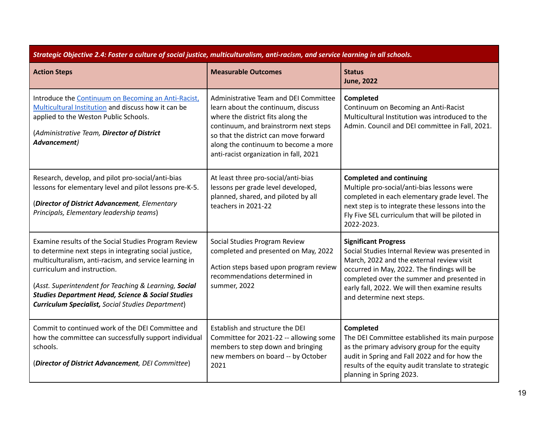| Strategic Objective 2.4: Foster a culture of social justice, multiculturalism, anti-racism, and service learning in all schools.                                                                                                                                                                                                                                                             |                                                                                                                                                                                                                                                                                      |                                                                                                                                                                                                                                                                                                         |
|----------------------------------------------------------------------------------------------------------------------------------------------------------------------------------------------------------------------------------------------------------------------------------------------------------------------------------------------------------------------------------------------|--------------------------------------------------------------------------------------------------------------------------------------------------------------------------------------------------------------------------------------------------------------------------------------|---------------------------------------------------------------------------------------------------------------------------------------------------------------------------------------------------------------------------------------------------------------------------------------------------------|
| <b>Action Steps</b>                                                                                                                                                                                                                                                                                                                                                                          | <b>Measurable Outcomes</b>                                                                                                                                                                                                                                                           | <b>Status</b><br><b>June, 2022</b>                                                                                                                                                                                                                                                                      |
| Introduce the Continuum on Becoming an Anti-Racist.<br>Multicultural Institution and discuss how it can be<br>applied to the Weston Public Schools.<br>(Administrative Team, Director of District<br>Advancement)                                                                                                                                                                            | Administrative Team and DEI Committee<br>learn about the continuum, discuss<br>where the district fits along the<br>continuum, and brainstrorm next steps<br>so that the district can move forward<br>along the continuum to become a more<br>anti-racist organization in fall, 2021 | Completed<br>Continuum on Becoming an Anti-Racist<br>Multicultural Institution was introduced to the<br>Admin. Council and DEI committee in Fall, 2021.                                                                                                                                                 |
| Research, develop, and pilot pro-social/anti-bias<br>lessons for elementary level and pilot lessons pre-K-5.<br>(Director of District Advancement, Elementary<br>Principals, Elementary leadership teams)                                                                                                                                                                                    | At least three pro-social/anti-bias<br>lessons per grade level developed,<br>planned, shared, and piloted by all<br>teachers in 2021-22                                                                                                                                              | <b>Completed and continuing</b><br>Multiple pro-social/anti-bias lessons were<br>completed in each elementary grade level. The<br>next step is to integrate these lessons into the<br>Fly Five SEL curriculum that will be piloted in<br>2022-2023.                                                     |
| Examine results of the Social Studies Program Review<br>to determine next steps in integrating social justice,<br>multiculturalism, anti-racism, and service learning in<br>curriculum and instruction.<br>(Asst. Superintendent for Teaching & Learning, Social<br><b>Studies Department Head, Science &amp; Social Studies</b><br><b>Curriculum Specialist, Social Studies Department)</b> | Social Studies Program Review<br>completed and presented on May, 2022<br>Action steps based upon program review<br>recommendations determined in<br>summer, 2022                                                                                                                     | <b>Significant Progress</b><br>Social Studies Internal Review was presented in<br>March, 2022 and the external review visit<br>occurred in May, 2022. The findings will be<br>completed over the summer and presented in<br>early fall, 2022. We will then examine results<br>and determine next steps. |
| Commit to continued work of the DEI Committee and<br>how the committee can successfully support individual<br>schools.<br>(Director of District Advancement, DEI Committee)                                                                                                                                                                                                                  | Establish and structure the DEI<br>Committee for 2021-22 -- allowing some<br>members to step down and bringing<br>new members on board -- by October<br>2021                                                                                                                         | <b>Completed</b><br>The DEI Committee established its main purpose<br>as the primary advisory group for the equity<br>audit in Spring and Fall 2022 and for how the<br>results of the equity audit translate to strategic<br>planning in Spring 2023.                                                   |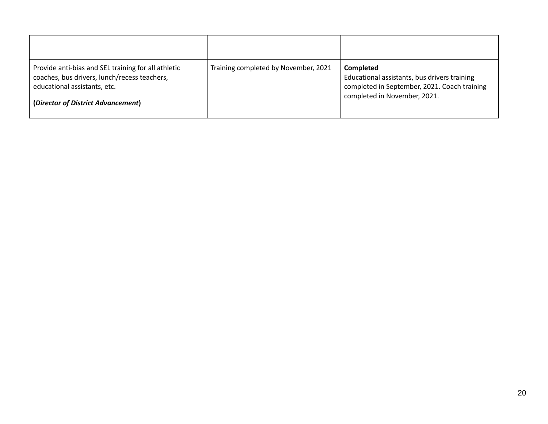| Provide anti-bias and SEL training for all athletic<br>coaches, bus drivers, lunch/recess teachers,<br>educational assistants, etc.<br>(Director of District Advancement) | Training completed by November, 2021 | Completed<br>Educational assistants, bus drivers training<br>completed in September, 2021. Coach training<br>completed in November, 2021. |
|---------------------------------------------------------------------------------------------------------------------------------------------------------------------------|--------------------------------------|-------------------------------------------------------------------------------------------------------------------------------------------|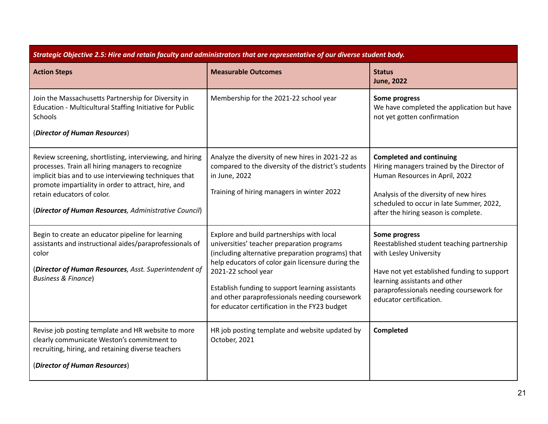| Strategic Objective 2.5: Hire and retain faculty and administrators that are representative of our diverse student body.                                                                                                                                                                                             |                                                                                                                                                                                                                                                                                                                                                                                 |                                                                                                                                                                                                                                               |
|----------------------------------------------------------------------------------------------------------------------------------------------------------------------------------------------------------------------------------------------------------------------------------------------------------------------|---------------------------------------------------------------------------------------------------------------------------------------------------------------------------------------------------------------------------------------------------------------------------------------------------------------------------------------------------------------------------------|-----------------------------------------------------------------------------------------------------------------------------------------------------------------------------------------------------------------------------------------------|
| <b>Action Steps</b>                                                                                                                                                                                                                                                                                                  | <b>Measurable Outcomes</b>                                                                                                                                                                                                                                                                                                                                                      | <b>Status</b><br><b>June, 2022</b>                                                                                                                                                                                                            |
| Join the Massachusetts Partnership for Diversity in<br>Education - Multicultural Staffing Initiative for Public<br>Schools<br>(Director of Human Resources)                                                                                                                                                          | Membership for the 2021-22 school year                                                                                                                                                                                                                                                                                                                                          | Some progress<br>We have completed the application but have<br>not yet gotten confirmation                                                                                                                                                    |
| Review screening, shortlisting, interviewing, and hiring<br>processes. Train all hiring managers to recognize<br>implicit bias and to use interviewing techniques that<br>promote impartiality in order to attract, hire, and<br>retain educators of color.<br>(Director of Human Resources, Administrative Council) | Analyze the diversity of new hires in 2021-22 as<br>compared to the diversity of the district's students<br>in June, 2022<br>Training of hiring managers in winter 2022                                                                                                                                                                                                         | <b>Completed and continuing</b><br>Hiring managers trained by the Director of<br>Human Resources in April, 2022<br>Analysis of the diversity of new hires<br>scheduled to occur in late Summer, 2022,<br>after the hiring season is complete. |
| Begin to create an educator pipeline for learning<br>assistants and instructional aides/paraprofessionals of<br>color<br>(Director of Human Resources, Asst. Superintendent of<br><b>Business &amp; Finance)</b>                                                                                                     | Explore and build partnerships with local<br>universities' teacher preparation programs<br>(including alternative preparation programs) that<br>help educators of color gain licensure during the<br>2021-22 school year<br>Establish funding to support learning assistants<br>and other paraprofessionals needing coursework<br>for educator certification in the FY23 budget | Some progress<br>Reestablished student teaching partnership<br>with Lesley University<br>Have not yet established funding to support<br>learning assistants and other<br>paraprofessionals needing coursework for<br>educator certification.  |
| Revise job posting template and HR website to more<br>clearly communicate Weston's commitment to<br>recruiting, hiring, and retaining diverse teachers<br>(Director of Human Resources)                                                                                                                              | HR job posting template and website updated by<br>October, 2021                                                                                                                                                                                                                                                                                                                 | Completed                                                                                                                                                                                                                                     |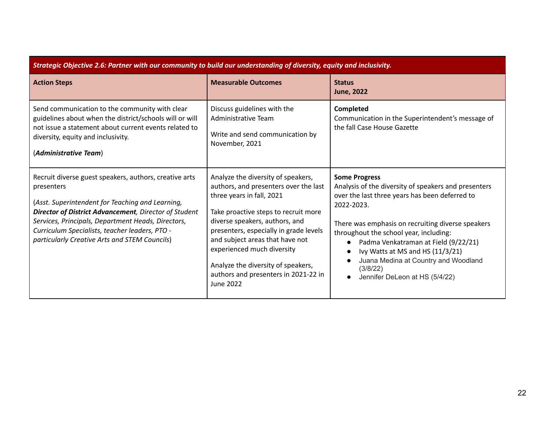| Strategic Objective 2.6: Partner with our community to build our understanding of diversity, equity and inclusivity.                                                                                                                                                                                                                               |                                                                                                                                                                                                                                                                                                                                                                                                 |                                                                                                                                                                                                                                                                                                                                                                                                               |
|----------------------------------------------------------------------------------------------------------------------------------------------------------------------------------------------------------------------------------------------------------------------------------------------------------------------------------------------------|-------------------------------------------------------------------------------------------------------------------------------------------------------------------------------------------------------------------------------------------------------------------------------------------------------------------------------------------------------------------------------------------------|---------------------------------------------------------------------------------------------------------------------------------------------------------------------------------------------------------------------------------------------------------------------------------------------------------------------------------------------------------------------------------------------------------------|
| <b>Action Steps</b>                                                                                                                                                                                                                                                                                                                                | <b>Measurable Outcomes</b>                                                                                                                                                                                                                                                                                                                                                                      | <b>Status</b><br><b>June, 2022</b>                                                                                                                                                                                                                                                                                                                                                                            |
| Send communication to the community with clear<br>guidelines about when the district/schools will or will<br>not issue a statement about current events related to<br>diversity, equity and inclusivity.<br>(Administrative Team)                                                                                                                  | Discuss guidelines with the<br>Administrative Team<br>Write and send communication by<br>November, 2021                                                                                                                                                                                                                                                                                         | <b>Completed</b><br>Communication in the Superintendent's message of<br>the fall Case House Gazette                                                                                                                                                                                                                                                                                                           |
| Recruit diverse guest speakers, authors, creative arts<br>presenters<br>(Asst. Superintendent for Teaching and Learning,<br><b>Director of District Advancement</b> , Director of Student<br>Services, Principals, Department Heads, Directors,<br>Curriculum Specialists, teacher leaders, PTO -<br>particularly Creative Arts and STEM Councils) | Analyze the diversity of speakers,<br>authors, and presenters over the last<br>three years in fall, 2021<br>Take proactive steps to recruit more<br>diverse speakers, authors, and<br>presenters, especially in grade levels<br>and subject areas that have not<br>experienced much diversity<br>Analyze the diversity of speakers,<br>authors and presenters in 2021-22 in<br><b>June 2022</b> | <b>Some Progress</b><br>Analysis of the diversity of speakers and presenters<br>over the last three years has been deferred to<br>2022-2023.<br>There was emphasis on recruiting diverse speakers<br>throughout the school year, including:<br>Padma Venkatraman at Field (9/22/21)<br>Ivy Watts at MS and HS (11/3/21)<br>Juana Medina at Country and Woodland<br>(3/8/22)<br>Jennifer DeLeon at HS (5/4/22) |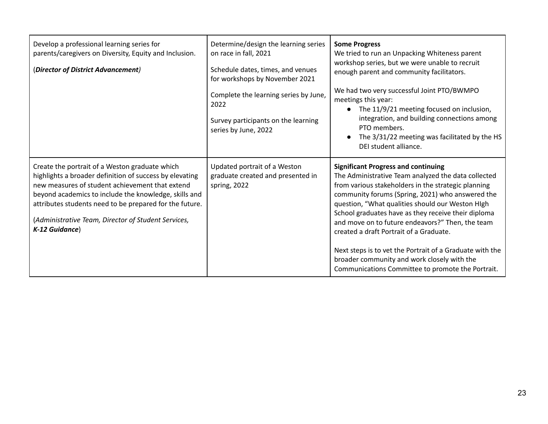| Develop a professional learning series for<br>parents/caregivers on Diversity, Equity and Inclusion.<br>(Director of District Advancement)                                                                                                                                                                                                                | Determine/design the learning series<br>on race in fall, 2021<br>Schedule dates, times, and venues<br>for workshops by November 2021<br>Complete the learning series by June,<br>2022<br>Survey participants on the learning<br>series by June, 2022 | <b>Some Progress</b><br>We tried to run an Unpacking Whiteness parent<br>workshop series, but we were unable to recruit<br>enough parent and community facilitators.<br>We had two very successful Joint PTO/BWMPO<br>meetings this year:<br>The 11/9/21 meeting focused on inclusion,<br>integration, and building connections among<br>PTO members.<br>The 3/31/22 meeting was facilitated by the HS<br>DEI student alliance.                                                                                                                                                        |
|-----------------------------------------------------------------------------------------------------------------------------------------------------------------------------------------------------------------------------------------------------------------------------------------------------------------------------------------------------------|------------------------------------------------------------------------------------------------------------------------------------------------------------------------------------------------------------------------------------------------------|----------------------------------------------------------------------------------------------------------------------------------------------------------------------------------------------------------------------------------------------------------------------------------------------------------------------------------------------------------------------------------------------------------------------------------------------------------------------------------------------------------------------------------------------------------------------------------------|
| Create the portrait of a Weston graduate which<br>highlights a broader definition of success by elevating<br>new measures of student achievement that extend<br>beyond academics to include the knowledge, skills and<br>attributes students need to be prepared for the future.<br>(Administrative Team, Director of Student Services,<br>K-12 Guidance) | Updated portrait of a Weston<br>graduate created and presented in<br>spring, 2022                                                                                                                                                                    | <b>Significant Progress and continuing</b><br>The Administrative Team analyzed the data collected<br>from various stakeholders in the strategic planning<br>community forums (Spring, 2021) who answered the<br>question, "What qualities should our Weston High<br>School graduates have as they receive their diploma<br>and move on to future endeavors?" Then, the team<br>created a draft Portrait of a Graduate.<br>Next steps is to vet the Portrait of a Graduate with the<br>broader community and work closely with the<br>Communications Committee to promote the Portrait. |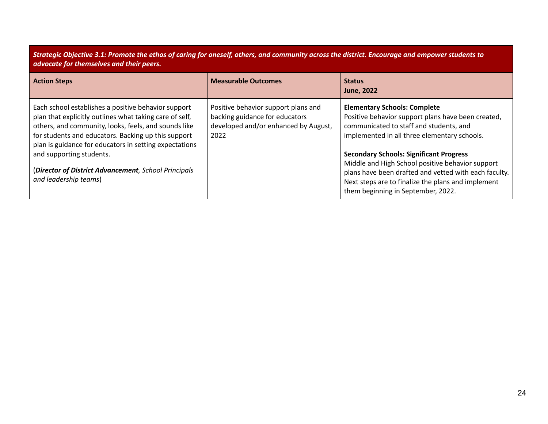Strategic Objective 3.1: Promote the ethos of caring for oneself, others, and community across the district. Encourage and empower students to *advocate for themselves and their peers.*

| <b>Action Steps</b>                                                                                                                                                                                                                                                                                                                                                                                  | <b>Measurable Outcomes</b>                                                                                            | <b>Status</b><br><b>June, 2022</b>                                                                                                                                                                                                                                                                                                                                                                                                              |
|------------------------------------------------------------------------------------------------------------------------------------------------------------------------------------------------------------------------------------------------------------------------------------------------------------------------------------------------------------------------------------------------------|-----------------------------------------------------------------------------------------------------------------------|-------------------------------------------------------------------------------------------------------------------------------------------------------------------------------------------------------------------------------------------------------------------------------------------------------------------------------------------------------------------------------------------------------------------------------------------------|
| Each school establishes a positive behavior support<br>plan that explicitly outlines what taking care of self,<br>others, and community, looks, feels, and sounds like<br>for students and educators. Backing up this support<br>plan is guidance for educators in setting expectations<br>and supporting students.<br>(Director of District Advancement, School Principals<br>and leadership teams) | Positive behavior support plans and<br>backing guidance for educators<br>developed and/or enhanced by August,<br>2022 | <b>Elementary Schools: Complete</b><br>Positive behavior support plans have been created,<br>communicated to staff and students, and<br>implemented in all three elementary schools.<br><b>Secondary Schools: Significant Progress</b><br>Middle and High School positive behavior support<br>plans have been drafted and vetted with each faculty.<br>Next steps are to finalize the plans and implement<br>them beginning in September, 2022. |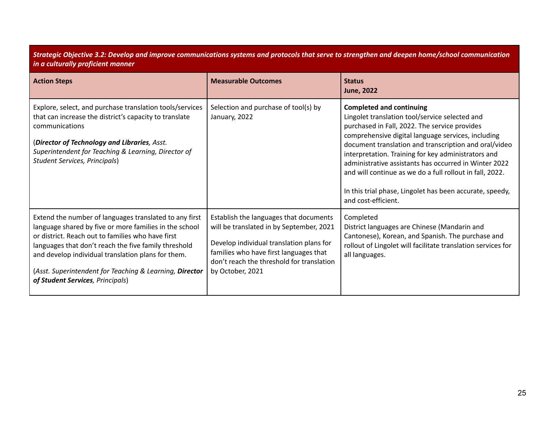## Strategic Objective 3.2: Develop and improve communications systems and protocols that serve to strengthen and deepen home/school communication *in a culturally proficient manner*

| <b>Action Steps</b>                                                                                                                                                                                                                                                                                                                                                                | <b>Measurable Outcomes</b>                                                                                                                                                                                                                | <b>Status</b><br><b>June, 2022</b>                                                                                                                                                                                                                                                                                                                                                                                                                                                                               |
|------------------------------------------------------------------------------------------------------------------------------------------------------------------------------------------------------------------------------------------------------------------------------------------------------------------------------------------------------------------------------------|-------------------------------------------------------------------------------------------------------------------------------------------------------------------------------------------------------------------------------------------|------------------------------------------------------------------------------------------------------------------------------------------------------------------------------------------------------------------------------------------------------------------------------------------------------------------------------------------------------------------------------------------------------------------------------------------------------------------------------------------------------------------|
| Explore, select, and purchase translation tools/services<br>that can increase the district's capacity to translate<br>communications<br>(Director of Technology and Libraries, Asst.<br>Superintendent for Teaching & Learning, Director of<br>Student Services, Principals)                                                                                                       | Selection and purchase of tool(s) by<br>January, 2022                                                                                                                                                                                     | <b>Completed and continuing</b><br>Lingolet translation tool/service selected and<br>purchased in Fall, 2022. The service provides<br>comprehensive digital language services, including<br>document translation and transcription and oral/video<br>interpretation. Training for key administrators and<br>administrative assistants has occurred in Winter 2022<br>and will continue as we do a full rollout in fall, 2022.<br>In this trial phase, Lingolet has been accurate, speedy,<br>and cost-efficient. |
| Extend the number of languages translated to any first<br>language shared by five or more families in the school<br>or district. Reach out to families who have first<br>languages that don't reach the five family threshold<br>and develop individual translation plans for them.<br>(Asst. Superintendent for Teaching & Learning, Director<br>of Student Services, Principals) | Establish the languages that documents<br>will be translated in by September, 2021<br>Develop individual translation plans for<br>families who have first languages that<br>don't reach the threshold for translation<br>by October, 2021 | Completed<br>District languages are Chinese (Mandarin and<br>Cantonese), Korean, and Spanish. The purchase and<br>rollout of Lingolet will facilitate translation services for<br>all languages.                                                                                                                                                                                                                                                                                                                 |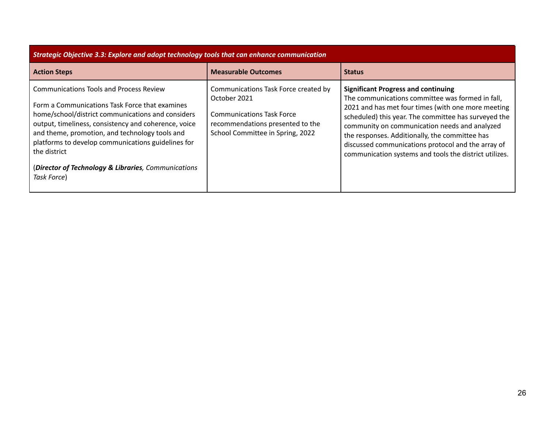| Strategic Objective 3.3: Explore and adopt technology tools that can enhance communication                                                                                                                                                                                                                                                                                                                  |                                                                                                                                                                  |                                                                                                                                                                                                                                                                                                                                                                                                                                 |  |
|-------------------------------------------------------------------------------------------------------------------------------------------------------------------------------------------------------------------------------------------------------------------------------------------------------------------------------------------------------------------------------------------------------------|------------------------------------------------------------------------------------------------------------------------------------------------------------------|---------------------------------------------------------------------------------------------------------------------------------------------------------------------------------------------------------------------------------------------------------------------------------------------------------------------------------------------------------------------------------------------------------------------------------|--|
| <b>Action Steps</b>                                                                                                                                                                                                                                                                                                                                                                                         | <b>Measurable Outcomes</b>                                                                                                                                       | <b>Status</b>                                                                                                                                                                                                                                                                                                                                                                                                                   |  |
| <b>Communications Tools and Process Review</b><br>Form a Communications Task Force that examines<br>home/school/district communications and considers<br>output, timeliness, consistency and coherence, voice<br>and theme, promotion, and technology tools and<br>platforms to develop communications guidelines for<br>the district<br>(Director of Technology & Libraries, Communications<br>Task Force) | Communications Task Force created by<br>October 2021<br><b>Communications Task Force</b><br>recommendations presented to the<br>School Committee in Spring, 2022 | <b>Significant Progress and continuing</b><br>The communications committee was formed in fall,<br>2021 and has met four times (with one more meeting<br>scheduled) this year. The committee has surveyed the<br>community on communication needs and analyzed<br>the responses. Additionally, the committee has<br>discussed communications protocol and the array of<br>communication systems and tools the district utilizes. |  |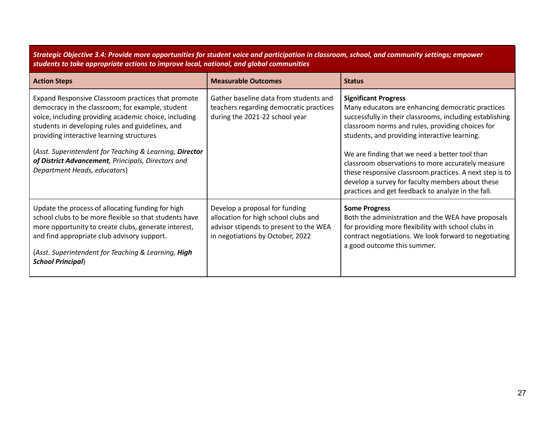Strategic Objective 3.4: Provide more opportunities for student voice and participation in classroom, school, and community settings; empower *students to take appropriate actions to improve local, national, and global communities*

| <b>Action Steps</b>                                                                                                                                                                                                                                                                                                                                                                                               | <b>Measurable Outcomes</b>                                                                                                                           | <b>Status</b>                                                                                                                                                                                                                                                                                                                                                                                                                                                                                                                 |
|-------------------------------------------------------------------------------------------------------------------------------------------------------------------------------------------------------------------------------------------------------------------------------------------------------------------------------------------------------------------------------------------------------------------|------------------------------------------------------------------------------------------------------------------------------------------------------|-------------------------------------------------------------------------------------------------------------------------------------------------------------------------------------------------------------------------------------------------------------------------------------------------------------------------------------------------------------------------------------------------------------------------------------------------------------------------------------------------------------------------------|
| Expand Responsive Classroom practices that promote<br>democracy in the classroom; for example, student<br>voice, including providing academic choice, including<br>students in developing rules and guidelines, and<br>providing interactive learning structures<br>(Asst. Superintendent for Teaching & Learning, Director<br>of District Advancement, Principals, Directors and<br>Department Heads, educators) | Gather baseline data from students and<br>teachers regarding democratic practices<br>during the 2021-22 school year                                  | <b>Significant Progress</b><br>Many educators are enhancing democratic practices<br>successfully in their classrooms, including establishing<br>classroom norms and rules, providing choices for<br>students, and providing interactive learning.<br>We are finding that we need a better tool than<br>classroom observations to more accurately measure<br>these responsive classroom practices. A next step is to<br>develop a survey for faculty members about these<br>practices and get feedback to analyze in the fall. |
| Update the process of allocating funding for high<br>school clubs to be more flexible so that students have<br>more opportunity to create clubs, generate interest,<br>and find appropriate club advisory support.<br>(Asst. Superintendent for Teaching & Learning, High<br><b>School Principal)</b>                                                                                                             | Develop a proposal for funding<br>allocation for high school clubs and<br>advisor stipends to present to the WEA<br>in negotiations by October, 2022 | <b>Some Progress</b><br>Both the administration and the WEA have proposals<br>for providing more flexibility with school clubs in<br>contract negotiations. We look forward to negotiating<br>a good outcome this summer.                                                                                                                                                                                                                                                                                                     |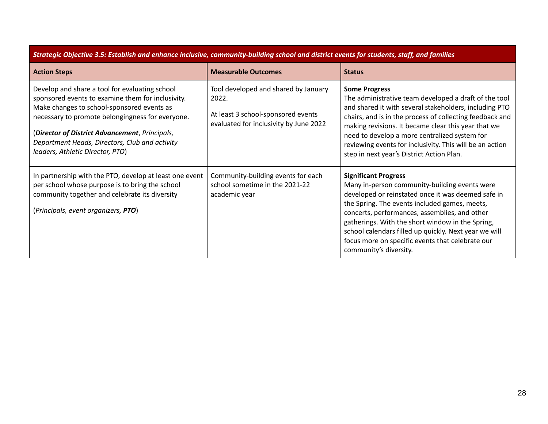| Strategic Objective 3.5: Establish and enhance inclusive, community-building school and district events for students, staff, and families                                                                                                                                                                                                     |                                                                                                                               |                                                                                                                                                                                                                                                                                                                                                                                                                                 |
|-----------------------------------------------------------------------------------------------------------------------------------------------------------------------------------------------------------------------------------------------------------------------------------------------------------------------------------------------|-------------------------------------------------------------------------------------------------------------------------------|---------------------------------------------------------------------------------------------------------------------------------------------------------------------------------------------------------------------------------------------------------------------------------------------------------------------------------------------------------------------------------------------------------------------------------|
| <b>Action Steps</b>                                                                                                                                                                                                                                                                                                                           | <b>Measurable Outcomes</b>                                                                                                    | <b>Status</b>                                                                                                                                                                                                                                                                                                                                                                                                                   |
| Develop and share a tool for evaluating school<br>sponsored events to examine them for inclusivity.<br>Make changes to school-sponsored events as<br>necessary to promote belongingness for everyone.<br>(Director of District Advancement, Principals,<br>Department Heads, Directors, Club and activity<br>leaders, Athletic Director, PTO) | Tool developed and shared by January<br>2022.<br>At least 3 school-sponsored events<br>evaluated for inclusivity by June 2022 | <b>Some Progress</b><br>The administrative team developed a draft of the tool<br>and shared it with several stakeholders, including PTO<br>chairs, and is in the process of collecting feedback and<br>making revisions. It became clear this year that we<br>need to develop a more centralized system for<br>reviewing events for inclusivity. This will be an action<br>step in next year's District Action Plan.            |
| In partnership with the PTO, develop at least one event<br>per school whose purpose is to bring the school<br>community together and celebrate its diversity<br>(Principals, event organizers, PTO)                                                                                                                                           | Community-building events for each<br>school sometime in the 2021-22<br>academic year                                         | <b>Significant Progress</b><br>Many in-person community-building events were<br>developed or reinstated once it was deemed safe in<br>the Spring. The events included games, meets,<br>concerts, performances, assemblies, and other<br>gatherings. With the short window in the Spring,<br>school calendars filled up quickly. Next year we will<br>focus more on specific events that celebrate our<br>community's diversity. |